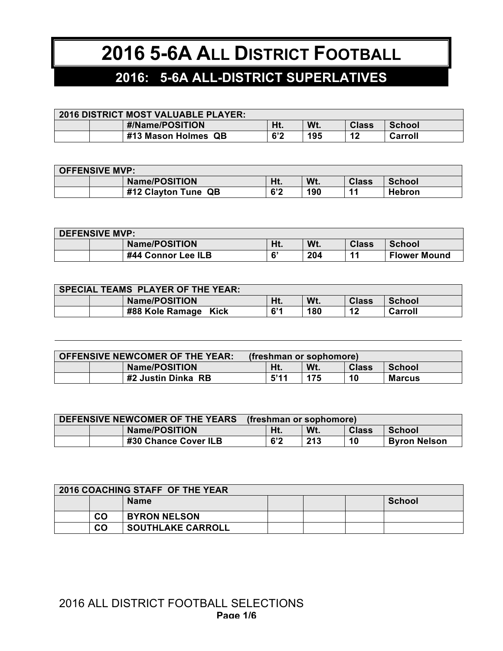## **2016 5-6A ALL DISTRICT FOOTBALL**

## **2016: 5-6A ALL-DISTRICT SUPERLATIVES**

| <b>2016 DISTRICT MOST VALUABLE PLAYER:</b> |  |                     |     |     |              |         |
|--------------------------------------------|--|---------------------|-----|-----|--------------|---------|
|                                            |  | #/Name/POSITION     | Ht. | Wt. | <b>Class</b> | School  |
|                                            |  | #13 Mason Holmes QB | 6'2 | 195 | 12           | Carroll |

| <b>OFFENSIVE MVP:</b> |  |                      |     |     |                |               |
|-----------------------|--|----------------------|-----|-----|----------------|---------------|
|                       |  | <b>Name/POSITION</b> | Ht. | Wt. | <b>Class</b>   | <b>School</b> |
|                       |  | #12 Clayton Tune QB  | 6'2 | 190 | $\overline{A}$ | <b>Hebron</b> |

| <b>DEFENSIVE MVP:</b> |  |                      |     |     |                |                     |
|-----------------------|--|----------------------|-----|-----|----------------|---------------------|
|                       |  | <b>Name/POSITION</b> | Ht. | Wt. | <b>Class</b>   | <b>School</b>       |
|                       |  | #44 Connor Lee ILB   | 6'  | 204 | $\overline{1}$ | <b>Flower Mound</b> |

| <b>SPECIAL TEAMS PLAYER OF THE YEAR:</b> |  |                      |     |     |              |         |
|------------------------------------------|--|----------------------|-----|-----|--------------|---------|
|                                          |  | <b>Name/POSITION</b> | Ht. | Wt. | <b>Class</b> | School  |
|                                          |  | #88 Kole Ramage Kick | 6'1 | 180 | 12           | Carroll |

| <b>OFFENSIVE NEWCOMER OF THE YEAR:</b> |  | (freshman or sophomore) |  |      |     |              |               |
|----------------------------------------|--|-------------------------|--|------|-----|--------------|---------------|
|                                        |  | <b>Name/POSITION</b>    |  | Ht.  | Wt. | <b>Class</b> | School        |
|                                        |  | #2 Justin Dinka RB      |  | 5'11 | 175 | 10           | <b>Marcus</b> |

| DEFENSIVE NEWCOMER OF THE YEARS |  |                      | (freshman or sophomore) |     |              |                     |
|---------------------------------|--|----------------------|-------------------------|-----|--------------|---------------------|
|                                 |  | <b>Name/POSITION</b> | Ht.                     | Wt. | <b>Class</b> | <b>School</b>       |
|                                 |  | #30 Chance Cover ILB | 6'2                     | 213 | 10           | <b>Byron Nelson</b> |

| <b>2016 COACHING STAFF OF THE YEAR</b> |           |                          |  |  |  |        |  |
|----------------------------------------|-----------|--------------------------|--|--|--|--------|--|
|                                        |           | <b>Name</b>              |  |  |  | School |  |
|                                        | <b>CO</b> | <b>BYRON NELSON</b>      |  |  |  |        |  |
|                                        | <b>CO</b> | <b>SOUTHLAKE CARROLL</b> |  |  |  |        |  |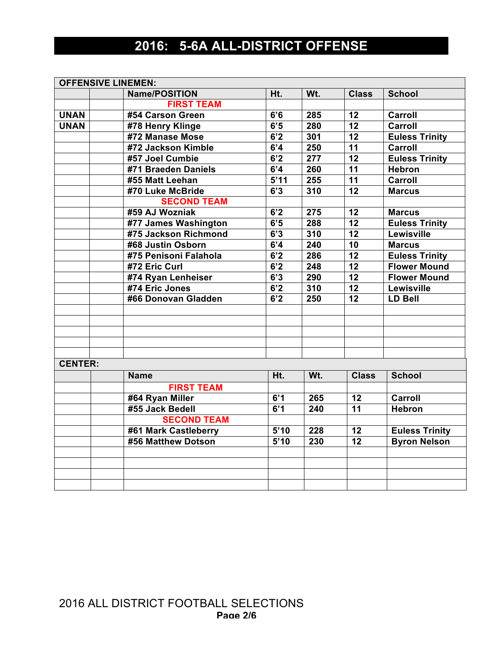## **2016: 5-6A ALL-DISTRICT OFFENSE**

|                | <b>OFFENSIVE LINEMEN:</b> |      |                  |                 |                       |
|----------------|---------------------------|------|------------------|-----------------|-----------------------|
|                | <b>Name/POSITION</b>      | Ht.  | Wt.              | <b>Class</b>    | <b>School</b>         |
|                | <b>FIRST TEAM</b>         |      |                  |                 |                       |
| <b>UNAN</b>    | #54 Carson Green          | 6'6  | 285              | 12              | Carroll               |
| <b>UNAN</b>    | #78 Henry Klinge          | 6'5  | 280              | $\overline{12}$ | Carroll               |
|                | #72 Manase Mose           | 6'2  | 301              | 12              | <b>Euless Trinity</b> |
|                | #72 Jackson Kimble        | 6'4  | 250              | $\overline{11}$ | Carroll               |
|                | #57 Joel Cumbie           | 6'2  | $\overline{277}$ | $\overline{12}$ | <b>Euless Trinity</b> |
|                | #71 Braeden Daniels       | 6'4  | 260              | $\overline{11}$ | <b>Hebron</b>         |
|                | #55 Matt Leehan           | 5'11 | 255              | 11              | Carroll               |
|                | #70 Luke McBride          | 6'3  | 310              | $\overline{12}$ | <b>Marcus</b>         |
|                | <b>SECOND TEAM</b>        |      |                  |                 |                       |
|                | #59 AJ Wozniak            | 6'2  | 275              | 12              | <b>Marcus</b>         |
|                | #77 James Washington      | 6'5  | 288              | $\overline{12}$ | <b>Euless Trinity</b> |
|                | #75 Jackson Richmond      | 6'3  | 310              | 12              | Lewisville            |
|                | #68 Justin Osborn         | 6'4  | 240              | 10              | <b>Marcus</b>         |
|                | #75 Penisoni Falahola     | 6'2  | 286              | 12              | <b>Euless Trinity</b> |
|                | #72 Eric Curl             | 6'2  | 248              | 12              | <b>Flower Mound</b>   |
|                | #74 Ryan Lenheiser        | 6'3  | 290              | 12              | <b>Flower Mound</b>   |
|                | #74 Eric Jones            | 6'2  | 310              | 12              | Lewisville            |
|                | #66 Donovan Gladden       | 6'2  | 250              | $\overline{12}$ | <b>LD Bell</b>        |
|                |                           |      |                  |                 |                       |
|                |                           |      |                  |                 |                       |
|                |                           |      |                  |                 |                       |
|                |                           |      |                  |                 |                       |
|                |                           |      |                  |                 |                       |
| <b>CENTER:</b> |                           |      |                  |                 |                       |
|                | <b>Name</b>               | Ht.  | Wt.              | <b>Class</b>    | <b>School</b>         |
|                | <b>FIRST TEAM</b>         |      |                  |                 |                       |
|                | #64 Ryan Miller           | 6'1  | 265              | 12              | Carroll               |
|                | #55 Jack Bedell           | 6'1  | 240              | $\overline{11}$ | <b>Hebron</b>         |
|                | <b>SECOND TEAM</b>        |      |                  |                 |                       |
|                | #61 Mark Castleberry      | 5'10 | 228              | 12              | <b>Euless Trinity</b> |
|                | #56 Matthew Dotson        | 5'10 | 230              | 12              | <b>Byron Nelson</b>   |
|                |                           |      |                  |                 |                       |
|                |                           |      |                  |                 |                       |
|                |                           |      |                  |                 |                       |
|                |                           |      |                  |                 |                       |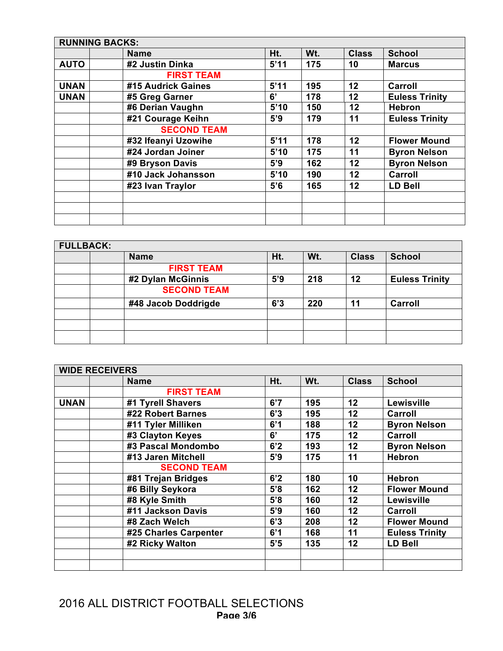|             | <b>RUNNING BACKS:</b> |      |     |              |                       |
|-------------|-----------------------|------|-----|--------------|-----------------------|
|             | <b>Name</b>           | Ht.  | Wt. | <b>Class</b> | <b>School</b>         |
| <b>AUTO</b> | #2 Justin Dinka       | 5'11 | 175 | 10           | <b>Marcus</b>         |
|             | <b>FIRST TEAM</b>     |      |     |              |                       |
| <b>UNAN</b> | #15 Audrick Gaines    | 5'11 | 195 | 12           | Carroll               |
| <b>UNAN</b> | #5 Greg Garner        | 6'   | 178 | 12           | <b>Euless Trinity</b> |
|             | #6 Derian Vaughn      | 5'10 | 150 | 12           | <b>Hebron</b>         |
|             | #21 Courage Keihn     | 5'9  | 179 | 11           | <b>Euless Trinity</b> |
|             | <b>SECOND TEAM</b>    |      |     |              |                       |
|             | #32 Ifeanyi Uzowihe   | 5'11 | 178 | 12           | <b>Flower Mound</b>   |
|             | #24 Jordan Joiner     | 5'10 | 175 | 11           | <b>Byron Nelson</b>   |
|             | #9 Bryson Davis       | 5'9  | 162 | 12           | <b>Byron Nelson</b>   |
|             | #10 Jack Johansson    | 5'10 | 190 | 12           | Carroll               |
|             | #23 Ivan Traylor      | 5'6  | 165 | 12           | <b>LD Bell</b>        |
|             |                       |      |     |              |                       |
|             |                       |      |     |              |                       |
|             |                       |      |     |              |                       |

| <b>FULLBACK:</b>    |     |     |              |                       |  |  |  |
|---------------------|-----|-----|--------------|-----------------------|--|--|--|
| <b>Name</b>         | Ht. | Wt. | <b>Class</b> | <b>School</b>         |  |  |  |
| <b>FIRST TEAM</b>   |     |     |              |                       |  |  |  |
| #2 Dylan McGinnis   | 5'9 | 218 | 12           | <b>Euless Trinity</b> |  |  |  |
| <b>SECOND TEAM</b>  |     |     |              |                       |  |  |  |
| #48 Jacob Doddrigde | 6'3 | 220 | 11           | <b>Carroll</b>        |  |  |  |
|                     |     |     |              |                       |  |  |  |
|                     |     |     |              |                       |  |  |  |
|                     |     |     |              |                       |  |  |  |

|             | <b>WIDE RECEIVERS</b> |     |     |              |                       |  |  |  |
|-------------|-----------------------|-----|-----|--------------|-----------------------|--|--|--|
|             | <b>Name</b>           | Ht. | Wt. | <b>Class</b> | <b>School</b>         |  |  |  |
|             | <b>FIRST TEAM</b>     |     |     |              |                       |  |  |  |
| <b>UNAN</b> | #1 Tyrell Shavers     | 6'7 | 195 | 12           | Lewisville            |  |  |  |
|             | #22 Robert Barnes     | 6'3 | 195 | 12           | Carroll               |  |  |  |
|             | #11 Tyler Milliken    | 6'1 | 188 | 12           | <b>Byron Nelson</b>   |  |  |  |
|             | #3 Clayton Keyes      | 6'  | 175 | 12           | Carroll               |  |  |  |
|             | #3 Pascal Mondombo    | 6'2 | 193 | 12           | <b>Byron Nelson</b>   |  |  |  |
|             | #13 Jaren Mitchell    | 5'9 | 175 | 11           | <b>Hebron</b>         |  |  |  |
|             | <b>SECOND TEAM</b>    |     |     |              |                       |  |  |  |
|             | #81 Trejan Bridges    | 6'2 | 180 | 10           | <b>Hebron</b>         |  |  |  |
|             | #6 Billy Seykora      | 5'8 | 162 | 12           | <b>Flower Mound</b>   |  |  |  |
|             | #8 Kyle Smith         | 5'8 | 160 | 12           | Lewisville            |  |  |  |
|             | #11 Jackson Davis     | 5'9 | 160 | 12           | Carroll               |  |  |  |
|             | #8 Zach Welch         | 6'3 | 208 | 12           | <b>Flower Mound</b>   |  |  |  |
|             | #25 Charles Carpenter | 6'1 | 168 | 11           | <b>Euless Trinity</b> |  |  |  |
|             | #2 Ricky Walton       | 5'5 | 135 | 12           | <b>LD Bell</b>        |  |  |  |
|             |                       |     |     |              |                       |  |  |  |
|             |                       |     |     |              |                       |  |  |  |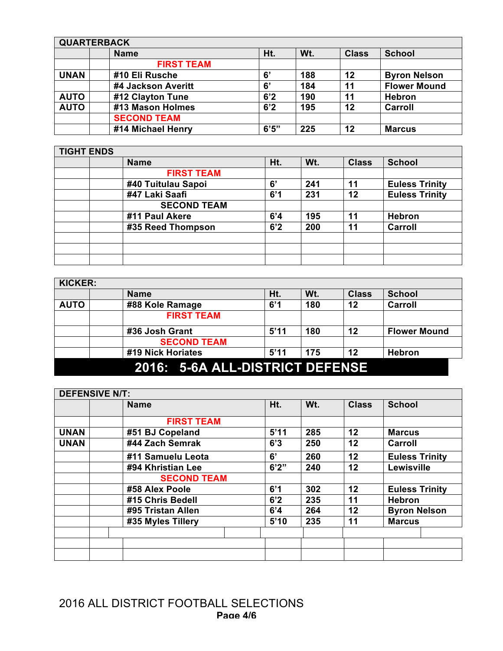|             | <b>QUARTERBACK</b> |       |     |              |                     |  |  |  |
|-------------|--------------------|-------|-----|--------------|---------------------|--|--|--|
|             | <b>Name</b>        | Ht.   | Wt. | <b>Class</b> | <b>School</b>       |  |  |  |
|             | <b>FIRST TEAM</b>  |       |     |              |                     |  |  |  |
| <b>UNAN</b> | #10 Eli Rusche     | 6'    | 188 | 12           | <b>Byron Nelson</b> |  |  |  |
|             | #4 Jackson Averitt | 6'    | 184 | 11           | <b>Flower Mound</b> |  |  |  |
| <b>AUTO</b> | #12 Clayton Tune   | 6'2   | 190 | 11           | <b>Hebron</b>       |  |  |  |
| <b>AUTO</b> | #13 Mason Holmes   | 6'2   | 195 | 12           | Carroll             |  |  |  |
|             | <b>SECOND TEAM</b> |       |     |              |                     |  |  |  |
|             | #14 Michael Henry  | 6'5'' | 225 | 12           | <b>Marcus</b>       |  |  |  |

| <b>TIGHT ENDS</b> |                    |     |     |              |                       |
|-------------------|--------------------|-----|-----|--------------|-----------------------|
|                   | <b>Name</b>        | Ht. | Wt. | <b>Class</b> | <b>School</b>         |
|                   | <b>FIRST TEAM</b>  |     |     |              |                       |
|                   | #40 Tuitulau Sapoi | 6'  | 241 | 11           | <b>Euless Trinity</b> |
|                   | #47 Laki Saafi     | 6'1 | 231 | 12           | <b>Euless Trinity</b> |
|                   | <b>SECOND TEAM</b> |     |     |              |                       |
|                   | #11 Paul Akere     | 6'4 | 195 | 11           | <b>Hebron</b>         |
|                   | #35 Reed Thompson  | 6'2 | 200 | 11           | Carroll               |
|                   |                    |     |     |              |                       |
|                   |                    |     |     |              |                       |
|                   |                    |     |     |              |                       |

| <b>KICKER:</b>                  |                    |      |     |              |                     |  |
|---------------------------------|--------------------|------|-----|--------------|---------------------|--|
|                                 | <b>Name</b>        | Ht.  | Wt. | <b>Class</b> | <b>School</b>       |  |
| <b>AUTO</b>                     | #88 Kole Ramage    | 6'1  | 180 | 12           | Carroll             |  |
|                                 | <b>FIRST TEAM</b>  |      |     |              |                     |  |
|                                 | #36 Josh Grant     | 5'11 | 180 | 12           | <b>Flower Mound</b> |  |
|                                 | <b>SECOND TEAM</b> |      |     |              |                     |  |
|                                 | #19 Nick Horiates  | 5'11 | 175 | 12           | <b>Hebron</b>       |  |
| 2016: 5-6A ALL-DISTRICT DEFENSE |                    |      |     |              |                     |  |

|             | <b>DEFENSIVE N/T:</b> |                    |       |     |              |                       |
|-------------|-----------------------|--------------------|-------|-----|--------------|-----------------------|
|             |                       | <b>Name</b>        | Ht.   | Wt. | <b>Class</b> | <b>School</b>         |
|             |                       | <b>FIRST TEAM</b>  |       |     |              |                       |
| <b>UNAN</b> |                       | #51 BJ Copeland    | 5'11  | 285 | 12           | <b>Marcus</b>         |
| <b>UNAN</b> |                       | #44 Zach Semrak    | 6'3   | 250 | 12           | Carroll               |
|             |                       | #11 Samuelu Leota  | 6'    | 260 | 12           | <b>Euless Trinity</b> |
|             |                       | #94 Khristian Lee  | 6'2'' | 240 | 12           | Lewisville            |
|             |                       | <b>SECOND TEAM</b> |       |     |              |                       |
|             |                       | #58 Alex Poole     | 6'1   | 302 | 12           | <b>Euless Trinity</b> |
|             |                       | #15 Chris Bedell   | 6'2   | 235 | 11           | <b>Hebron</b>         |
|             |                       | #95 Tristan Allen  | 6'4   | 264 | 12           | <b>Byron Nelson</b>   |
|             |                       | #35 Myles Tillery  | 5'10  | 235 | 11           | <b>Marcus</b>         |
|             |                       |                    |       |     |              |                       |
|             |                       |                    |       |     |              |                       |
|             |                       |                    |       |     |              |                       |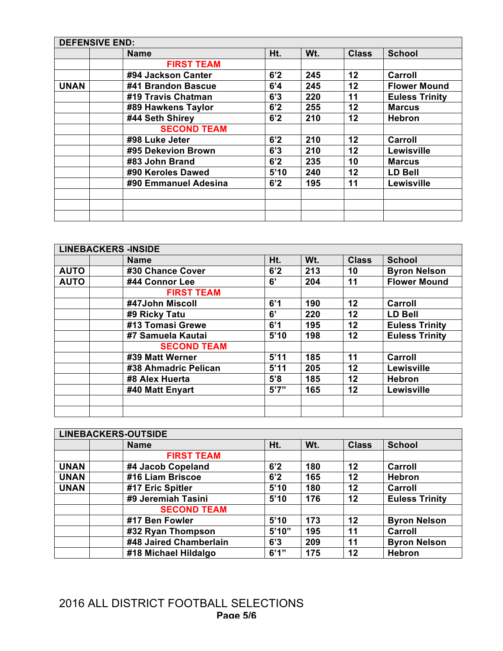|             | <b>DEFENSIVE END:</b> |                      |      |     |              |                       |  |
|-------------|-----------------------|----------------------|------|-----|--------------|-----------------------|--|
|             | <b>Name</b>           |                      | Ht.  | Wt. | <b>Class</b> | <b>School</b>         |  |
|             |                       | <b>FIRST TEAM</b>    |      |     |              |                       |  |
|             | #94 Jackson Canter    |                      | 6'2  | 245 | 12           | Carroll               |  |
| <b>UNAN</b> | #41 Brandon Bascue    |                      | 6'4  | 245 | 12           | <b>Flower Mound</b>   |  |
|             | #19 Travis Chatman    |                      | 6'3  | 220 | 11           | <b>Euless Trinity</b> |  |
|             | #89 Hawkens Taylor    |                      | 6'2  | 255 | 12           | <b>Marcus</b>         |  |
|             | #44 Seth Shirey       |                      | 6'2  | 210 | 12           | <b>Hebron</b>         |  |
|             |                       | <b>SECOND TEAM</b>   |      |     |              |                       |  |
|             | #98 Luke Jeter        |                      | 6'2  | 210 | 12           | Carroll               |  |
|             | #95 Dekevion Brown    |                      | 6'3  | 210 | 12           | Lewisville            |  |
|             | #83 John Brand        |                      | 6'2  | 235 | 10           | <b>Marcus</b>         |  |
|             | #90 Keroles Dawed     |                      | 5'10 | 240 | 12           | <b>LD Bell</b>        |  |
|             |                       | #90 Emmanuel Adesina | 6'2  | 195 | 11           | Lewisville            |  |
|             |                       |                      |      |     |              |                       |  |
|             |                       |                      |      |     |              |                       |  |
|             |                       |                      |      |     |              |                       |  |

|             | <b>LINEBACKERS -INSIDE</b> |       |     |              |                       |  |  |
|-------------|----------------------------|-------|-----|--------------|-----------------------|--|--|
|             | <b>Name</b>                | Ht.   | Wt. | <b>Class</b> | <b>School</b>         |  |  |
| <b>AUTO</b> | #30 Chance Cover           | 6'2   | 213 | 10           | <b>Byron Nelson</b>   |  |  |
| <b>AUTO</b> | #44 Connor Lee             | 6'    | 204 | 11           | <b>Flower Mound</b>   |  |  |
|             | <b>FIRST TEAM</b>          |       |     |              |                       |  |  |
|             | #47John Miscoll            | 6'1   | 190 | 12           | Carroll               |  |  |
|             | #9 Ricky Tatu              | 6'    | 220 | 12           | <b>LD Bell</b>        |  |  |
|             | #13 Tomasi Grewe           | 6'1   | 195 | 12           | <b>Euless Trinity</b> |  |  |
|             | #7 Samuela Kautai          | 5'10  | 198 | 12           | <b>Euless Trinity</b> |  |  |
|             | <b>SECOND TEAM</b>         |       |     |              |                       |  |  |
|             | #39 Matt Werner            | 5'11  | 185 | 11           | Carroll               |  |  |
|             | #38 Ahmadric Pelican       | 5'11  | 205 | 12           | Lewisville            |  |  |
|             | #8 Alex Huerta             | 5'8   | 185 | 12           | <b>Hebron</b>         |  |  |
|             | #40 Matt Enyart            | 5'7'' | 165 | 12           | Lewisville            |  |  |
|             |                            |       |     |              |                       |  |  |
|             |                            |       |     |              |                       |  |  |

|             | <b>LINEBACKERS-OUTSIDE</b> |       |     |              |                       |  |  |
|-------------|----------------------------|-------|-----|--------------|-----------------------|--|--|
|             | <b>Name</b>                | Ht.   | Wt. | <b>Class</b> | <b>School</b>         |  |  |
|             | <b>FIRST TEAM</b>          |       |     |              |                       |  |  |
| <b>UNAN</b> | #4 Jacob Copeland          | 6'2   | 180 | 12           | Carroll               |  |  |
| <b>UNAN</b> | #16 Liam Briscoe           | 6'2   | 165 | 12           | <b>Hebron</b>         |  |  |
| <b>UNAN</b> | #17 Eric Spitler           | 5'10  | 180 | 12           | Carroll               |  |  |
|             | #9 Jeremiah Tasini         | 5'10  | 176 | $12 \,$      | <b>Euless Trinity</b> |  |  |
|             | <b>SECOND TEAM</b>         |       |     |              |                       |  |  |
|             | #17 Ben Fowler             | 5'10  | 173 | 12           | <b>Byron Nelson</b>   |  |  |
|             | #32 Ryan Thompson          | 5'10" | 195 | 11           | Carroll               |  |  |
|             | #48 Jaired Chamberlain     | 6'3   | 209 | 11           | <b>Byron Nelson</b>   |  |  |
|             | #18 Michael Hildalgo       | 6'1'' | 175 | 12           | <b>Hebron</b>         |  |  |